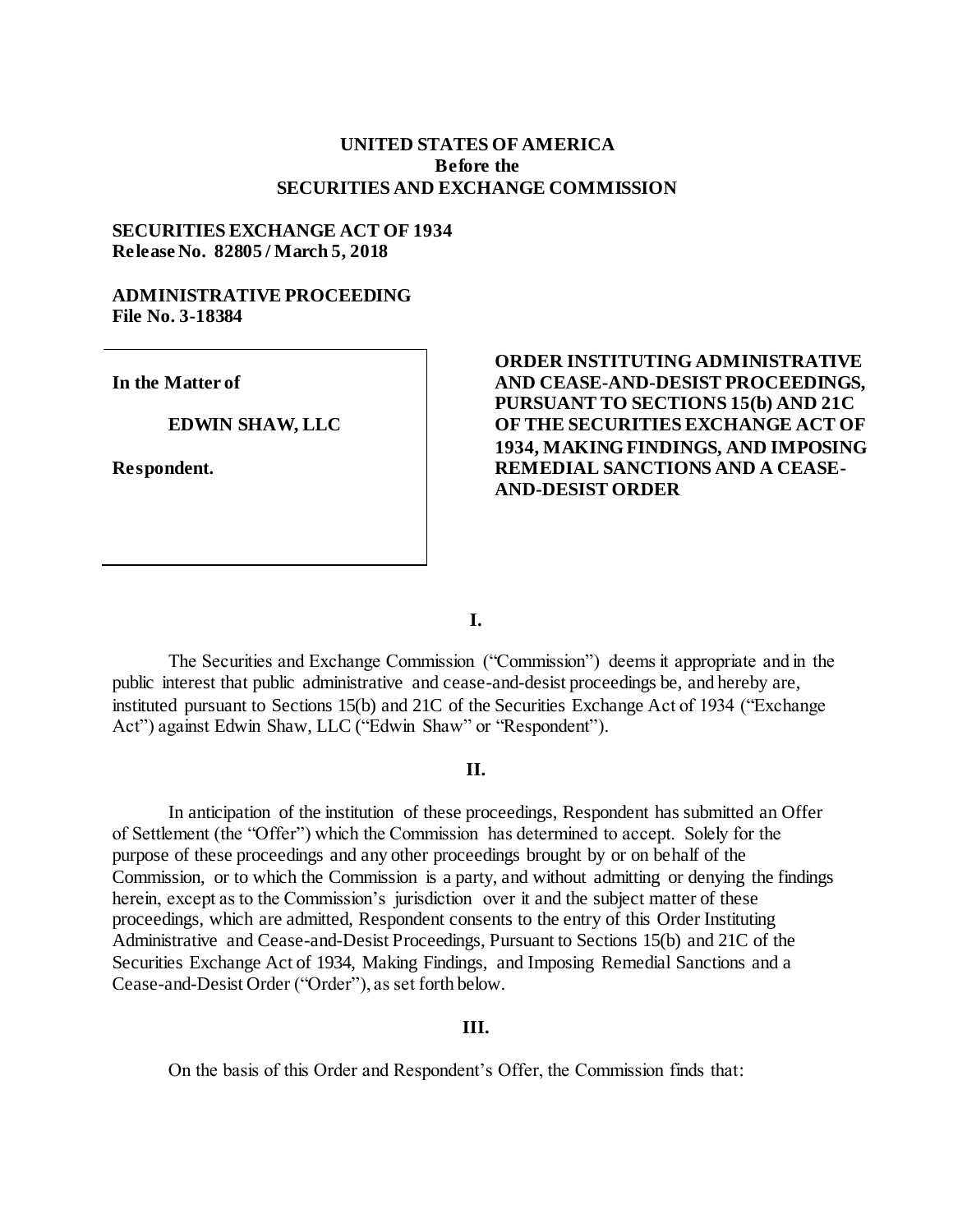# **UNITED STATES OF AMERICA Before the SECURITIES AND EXCHANGE COMMISSION**

#### **SECURITIES EXCHANGE ACT OF 1934 Release No. 82805 / March 5, 2018**

# **ADMINISTRATIVE PROCEEDING File No. 3-18384**

**In the Matter of**

#### **EDWIN SHAW, LLC**

**Respondent.**

# **ORDER INSTITUTING ADMINISTRATIVE AND CEASE-AND-DESIST PROCEEDINGS, PURSUANT TO SECTIONS 15(b) AND 21C OF THE SECURITIES EXCHANGE ACT OF 1934, MAKING FINDINGS, AND IMPOSING REMEDIAL SANCTIONS AND A CEASE-AND-DESIST ORDER**

**I.**

The Securities and Exchange Commission ("Commission") deems it appropriate and in the public interest that public administrative and cease-and-desist proceedings be, and hereby are, instituted pursuant to Sections 15(b) and 21C of the Securities Exchange Act of 1934 ("Exchange Act") against Edwin Shaw, LLC ("Edwin Shaw" or "Respondent").

#### **II.**

In anticipation of the institution of these proceedings, Respondent has submitted an Offer of Settlement (the "Offer") which the Commission has determined to accept. Solely for the purpose of these proceedings and any other proceedings brought by or on behalf of the Commission, or to which the Commission is a party, and without admitting or denying the findings herein, except as to the Commission's jurisdiction over it and the subject matter of these proceedings, which are admitted, Respondent consents to the entry of this Order Instituting Administrative and Cease-and-Desist Proceedings, Pursuant to Sections 15(b) and 21C of the Securities Exchange Act of 1934, Making Findings, and Imposing Remedial Sanctions and a Cease-and-Desist Order ("Order"), as set forth below.

# **III.**

On the basis of this Order and Respondent's Offer, the Commission finds that: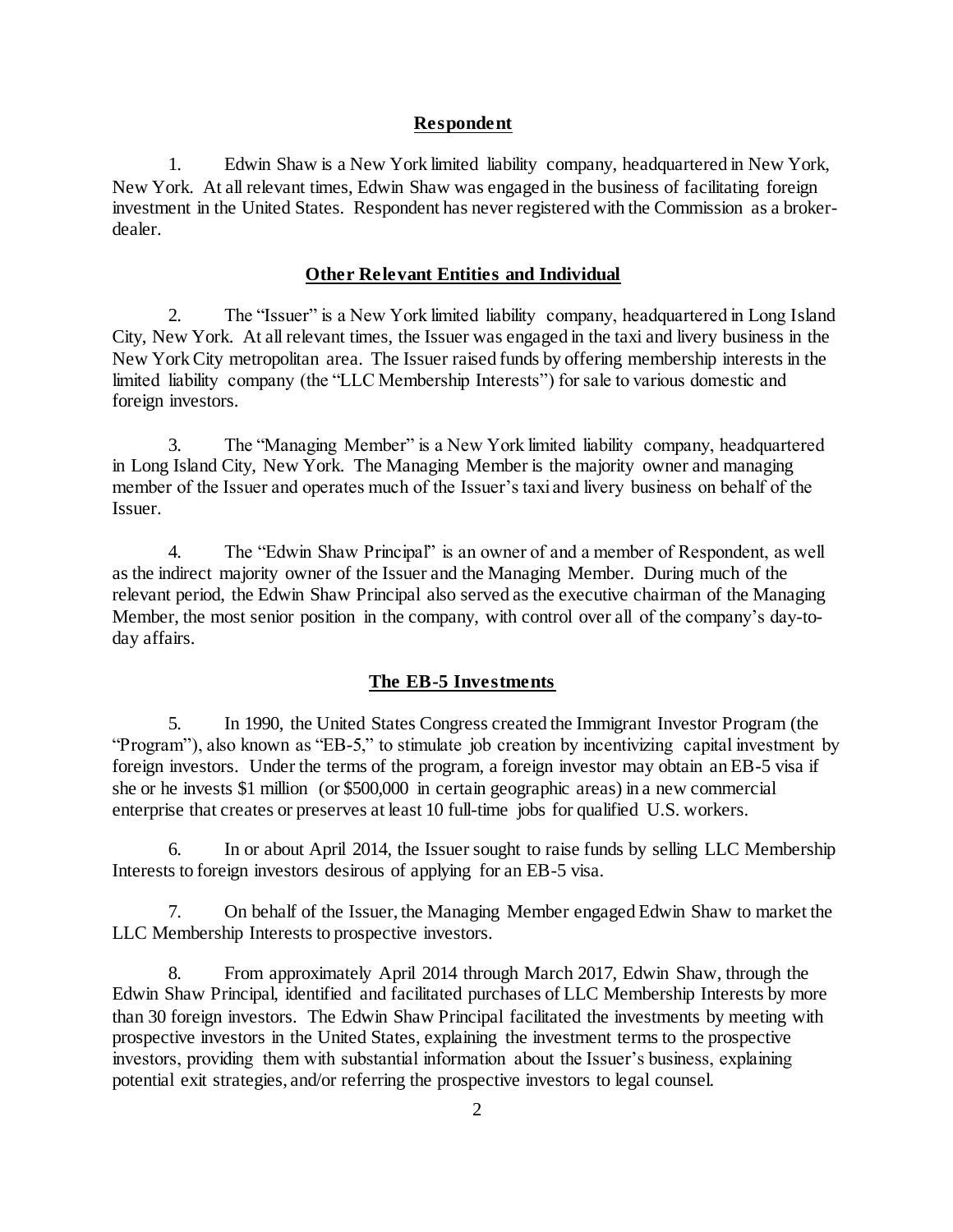## **Respondent**

1. Edwin Shaw is a New York limited liability company, headquartered in New York, New York. At all relevant times, Edwin Shaw was engaged in the business of facilitating foreign investment in the United States. Respondent has never registered with the Commission as a brokerdealer.

#### **Other Relevant Entities and Individual**

2. The "Issuer" is a New York limited liability company, headquartered in Long Island City, New York. At all relevant times, the Issuer was engaged in the taxi and livery business in the New York City metropolitan area. The Issuer raised funds by offering membership interests in the limited liability company (the "LLC Membership Interests") for sale to various domestic and foreign investors.

3. The "Managing Member" is a New York limited liability company, headquartered in Long Island City, New York. The Managing Member is the majority owner and managing member of the Issuer and operates much of the Issuer's taxi and livery business on behalf of the Issuer.

4. The "Edwin Shaw Principal" is an owner of and a member of Respondent, as well as the indirect majority owner of the Issuer and the Managing Member. During much of the relevant period, the Edwin Shaw Principal also served as the executive chairman of the Managing Member, the most senior position in the company, with control over all of the company's day-today affairs.

# **The EB-5 Investments**

5. In 1990, the United States Congress created the Immigrant Investor Program (the "Program"), also known as "EB-5," to stimulate job creation by incentivizing capital investment by foreign investors. Under the terms of the program, a foreign investor may obtain an EB-5 visa if she or he invests \$1 million (or \$500,000 in certain geographic areas) in a new commercial enterprise that creates or preserves at least 10 full-time jobs for qualified U.S. workers.

6. In or about April 2014, the Issuer sought to raise funds by selling LLC Membership Interests to foreign investors desirous of applying for an EB-5 visa.

7. On behalf of the Issuer, the Managing Member engaged Edwin Shaw to market the LLC Membership Interests to prospective investors.

8. From approximately April 2014 through March 2017, Edwin Shaw, through the Edwin Shaw Principal, identified and facilitated purchases of LLC Membership Interests by more than 30 foreign investors. The Edwin Shaw Principal facilitated the investments by meeting with prospective investors in the United States, explaining the investment terms to the prospective investors, providing them with substantial information about the Issuer's business, explaining potential exit strategies, and/or referring the prospective investors to legal counsel.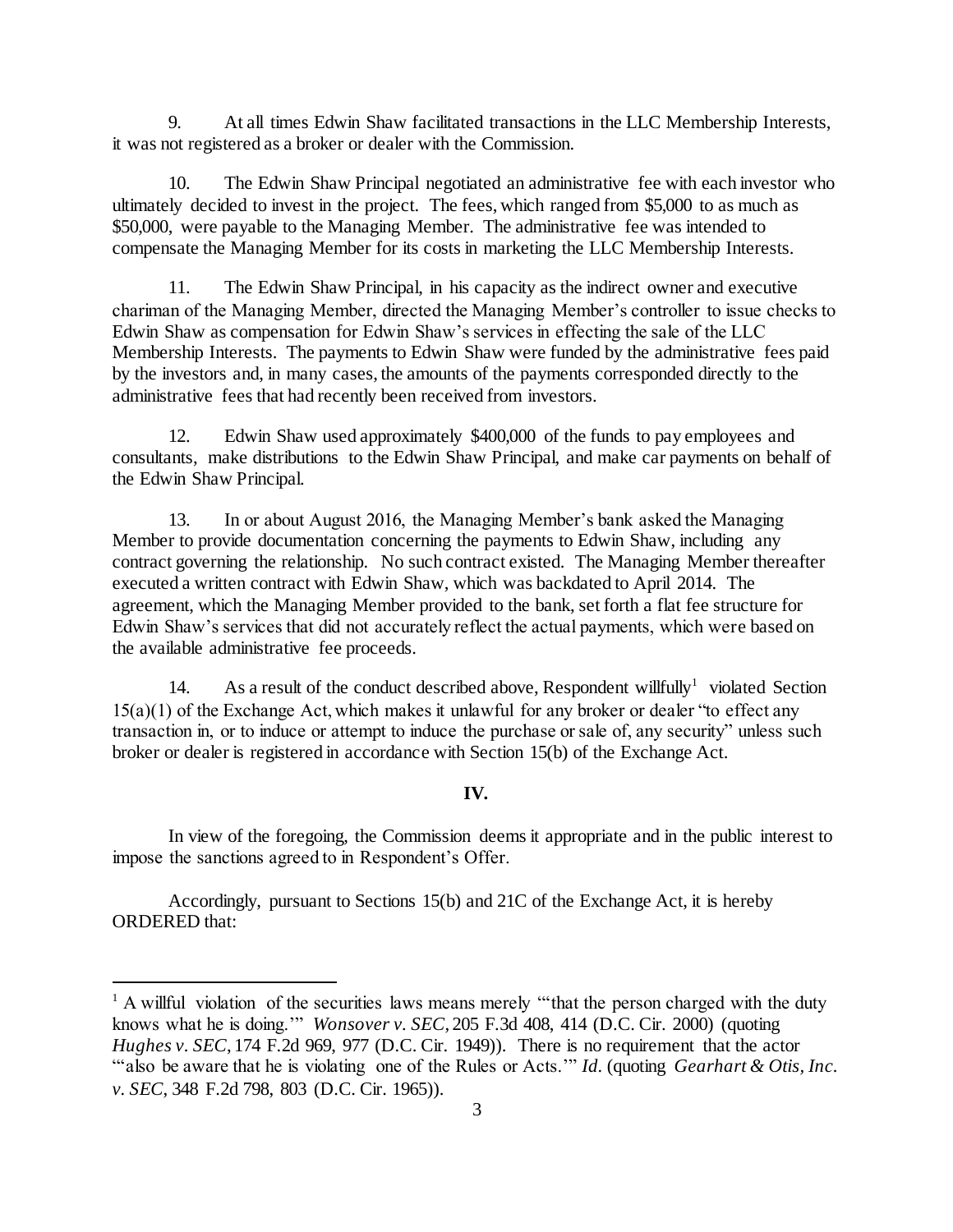9. At all times Edwin Shaw facilitated transactions in the LLC Membership Interests, it was not registered as a broker or dealer with the Commission.

10. The Edwin Shaw Principal negotiated an administrative fee with each investor who ultimately decided to invest in the project. The fees, which ranged from \$5,000 to as much as \$50,000, were payable to the Managing Member. The administrative fee was intended to compensate the Managing Member for its costs in marketing the LLC Membership Interests.

11. The Edwin Shaw Principal, in his capacity as the indirect owner and executive chariman of the Managing Member, directed the Managing Member's controller to issue checks to Edwin Shaw as compensation for Edwin Shaw's services in effecting the sale of the LLC Membership Interests. The payments to Edwin Shaw were funded by the administrative fees paid by the investors and, in many cases, the amounts of the payments corresponded directly to the administrative fees that had recently been received from investors.

12. Edwin Shaw used approximately \$400,000 of the funds to pay employees and consultants, make distributions to the Edwin Shaw Principal, and make car payments on behalf of the Edwin Shaw Principal.

13. In or about August 2016, the Managing Member's bank asked the Managing Member to provide documentation concerning the payments to Edwin Shaw, including any contract governing the relationship. No such contract existed. The Managing Member thereafter executed a written contract with Edwin Shaw, which was backdated to April 2014. The agreement, which the Managing Member provided to the bank, set forth a flat fee structure for Edwin Shaw's services that did not accurately reflect the actual payments, which were based on the available administrative fee proceeds.

14. As a result of the conduct described above, Respondent willfully<sup>1</sup> violated Section 15(a)(1) of the Exchange Act, which makes it unlawful for any broker or dealer "to effect any transaction in, or to induce or attempt to induce the purchase or sale of, any security" unless such broker or dealer is registered in accordance with Section 15(b) of the Exchange Act.

#### **IV.**

In view of the foregoing, the Commission deems it appropriate and in the public interest to impose the sanctions agreed to in Respondent's Offer.

Accordingly, pursuant to Sections 15(b) and 21C of the Exchange Act, it is hereby ORDERED that:

l

<sup>&</sup>lt;sup>1</sup> A willful violation of the securities laws means merely "that the person charged with the duty knows what he is doing.'" *Wonsover v. SEC*, 205 F.3d 408, 414 (D.C. Cir. 2000) (quoting *Hughes v. SEC*, 174 F.2d 969, 977 (D.C. Cir. 1949)). There is no requirement that the actor "'also be aware that he is violating one of the Rules or Acts.'" *Id.* (quoting *Gearhart & Otis, Inc. v. SEC*, 348 F.2d 798, 803 (D.C. Cir. 1965)).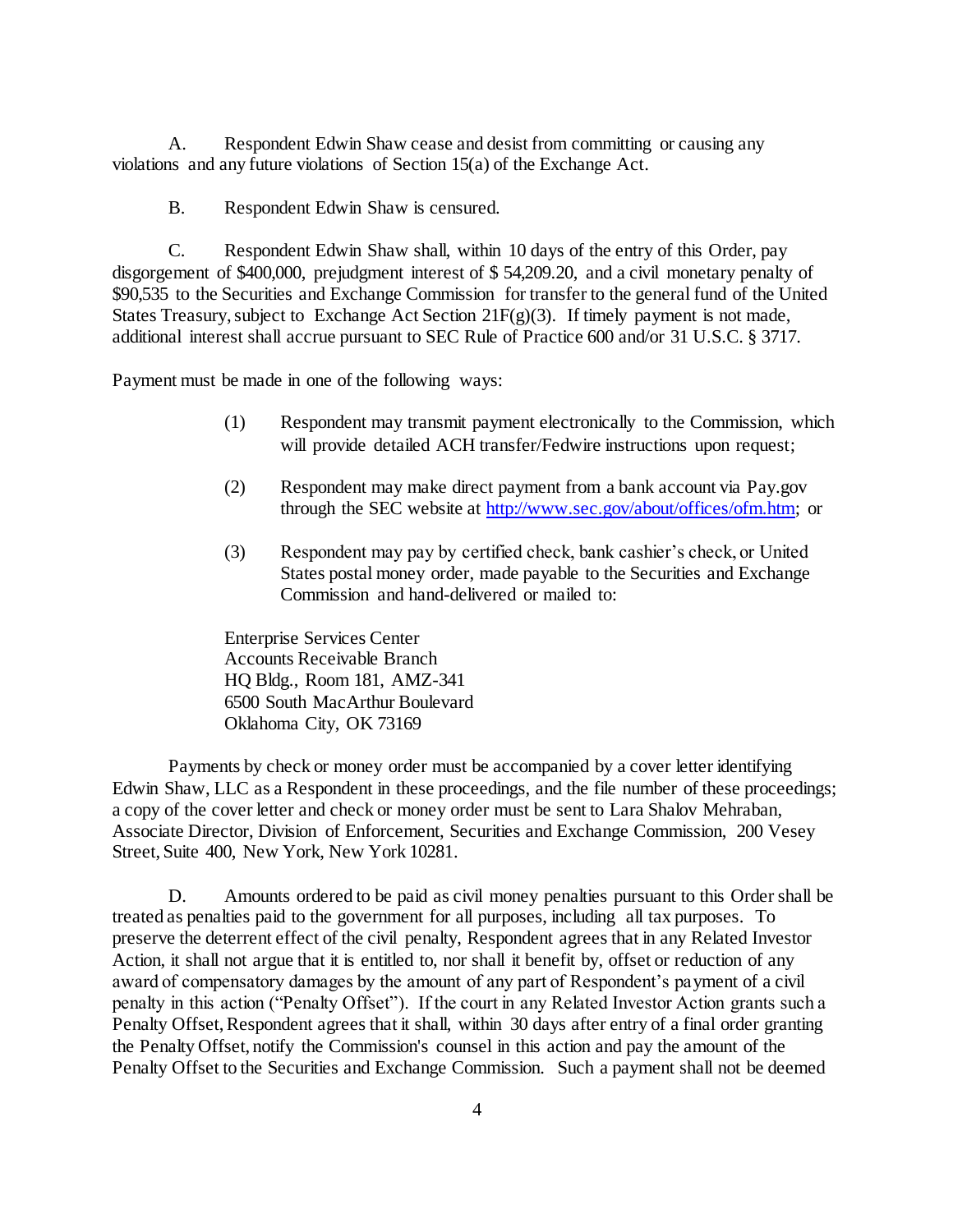A. Respondent Edwin Shaw cease and desist from committing or causing any violations and any future violations of Section 15(a) of the Exchange Act.

B. Respondent Edwin Shaw is censured.

C. Respondent Edwin Shaw shall, within 10 days of the entry of this Order, pay disgorgement of \$400,000, prejudgment interest of \$ 54,209.20, and a civil monetary penalty of \$90,535 to the Securities and Exchange Commission for transfer to the general fund of the United States Treasury, subject to Exchange Act Section  $21F(g)(3)$ . If timely payment is not made, additional interest shall accrue pursuant to SEC Rule of Practice 600 and/or 31 U.S.C. § 3717.

Payment must be made in one of the following ways:

- (1) Respondent may transmit payment electronically to the Commission, which will provide detailed ACH transfer/Fedwire instructions upon request;
- (2) Respondent may make direct payment from a bank account via Pay.gov through the SEC website a[t http://www.sec.gov/about/offices/ofm.htm;](http://www.sec.gov/about/offices/ofm.htm) or
- (3) Respondent may pay by certified check, bank cashier's check, or United States postal money order, made payable to the Securities and Exchange Commission and hand-delivered or mailed to:

Enterprise Services Center Accounts Receivable Branch HQ Bldg., Room 181, AMZ-341 6500 South MacArthur Boulevard Oklahoma City, OK 73169

Payments by check or money order must be accompanied by a cover letter identifying Edwin Shaw, LLC as a Respondent in these proceedings, and the file number of these proceedings; a copy of the cover letter and check or money order must be sent to Lara Shalov Mehraban, Associate Director, Division of Enforcement, Securities and Exchange Commission, 200 Vesey Street, Suite 400, New York, New York 10281.

D. Amounts ordered to be paid as civil money penalties pursuant to this Order shall be treated as penalties paid to the government for all purposes, including all tax purposes. To preserve the deterrent effect of the civil penalty, Respondent agrees that in any Related Investor Action, it shall not argue that it is entitled to, nor shall it benefit by, offset or reduction of any award of compensatory damages by the amount of any part of Respondent's payment of a civil penalty in this action ("Penalty Offset"). If the court in any Related Investor Action grants such a Penalty Offset, Respondent agrees that it shall, within 30 days after entry of a final order granting the Penalty Offset, notify the Commission's counsel in this action and pay the amount of the Penalty Offset to the Securities and Exchange Commission. Such a payment shall not be deemed